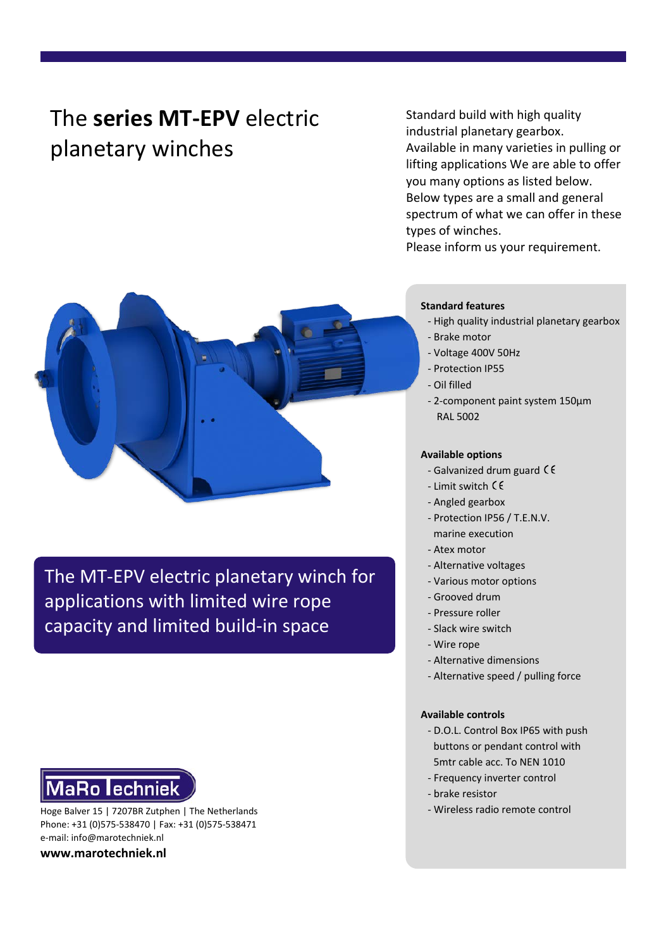# The **series MT-EPV** electric planetary winches

Standard build with high quality industrial planetary gearbox. Available in many varieties in pulling or lifting applications We are able to offer you many options as listed below. Below types are a small and general spectrum of what we can offer in these types of winches.

Please inform us your requirement.



The MT-EPV electric planetary winch for applications with limited wire rope capacity and limited build-in space

### **Standard features**

- High quality industrial planetary gearbox
- Brake motor
- Voltage 400V 50Hz
- Protection IP55
- Oil filled
- 2-component paint system 150μm RAL 5002

### **Available options**

- Galvanized drum guard  $\zeta \zeta$
- Limit switch
- Angled gearbox
- Protection IP56 / T.E.N.V.
	- marine execution
- Atex motor
- Alternative voltages
- Various motor options
- Grooved drum
- Pressure roller
- Slack wire switch
- Wire rope
- Alternative dimensions
- Alternative speed / pulling force

#### **Available controls**

- D.O.L. Control Box IP65 with push buttons or pendant control with 5mtr cable acc. To NEN 1010
- Frequency inverter control
- brake resistor
- 

**MaRo lechniek** Hoge Balver 15 | 7207BR Zutphen | The Netherlands - Wireless radio remote control

Phone: +31 (0)575-538470 | Fax: +31 (0)575-538471 e-mail: info@marotechniek.nl

**www.marotechniek.nl**